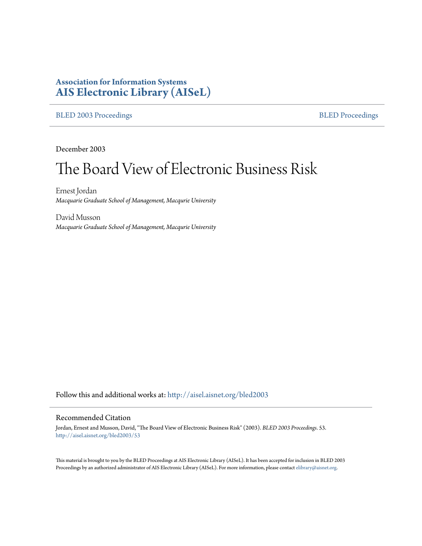## **Association for Information Systems [AIS Electronic Library \(AISeL\)](http://aisel.aisnet.org?utm_source=aisel.aisnet.org%2Fbled2003%2F53&utm_medium=PDF&utm_campaign=PDFCoverPages)**

## [BLED 2003 Proceedings](http://aisel.aisnet.org/bled2003?utm_source=aisel.aisnet.org%2Fbled2003%2F53&utm_medium=PDF&utm_campaign=PDFCoverPages) and the [BLED Proceedings](http://aisel.aisnet.org/bled?utm_source=aisel.aisnet.org%2Fbled2003%2F53&utm_medium=PDF&utm_campaign=PDFCoverPages) BLED Proceedings

December 2003

# The Board View of Electronic Business Risk

Ernest Jordan *Macquarie Graduate School of Management, Macqurie University*

David Musson *Macquarie Graduate School of Management, Macqurie University*

Follow this and additional works at: [http://aisel.aisnet.org/bled2003](http://aisel.aisnet.org/bled2003?utm_source=aisel.aisnet.org%2Fbled2003%2F53&utm_medium=PDF&utm_campaign=PDFCoverPages)

#### Recommended Citation

Jordan, Ernest and Musson, David, "The Board View of Electronic Business Risk" (2003). *BLED 2003 Proceedings*. 53. [http://aisel.aisnet.org/bled2003/53](http://aisel.aisnet.org/bled2003/53?utm_source=aisel.aisnet.org%2Fbled2003%2F53&utm_medium=PDF&utm_campaign=PDFCoverPages)

This material is brought to you by the BLED Proceedings at AIS Electronic Library (AISeL). It has been accepted for inclusion in BLED 2003 Proceedings by an authorized administrator of AIS Electronic Library (AISeL). For more information, please contact [elibrary@aisnet.org](mailto:elibrary@aisnet.org%3E).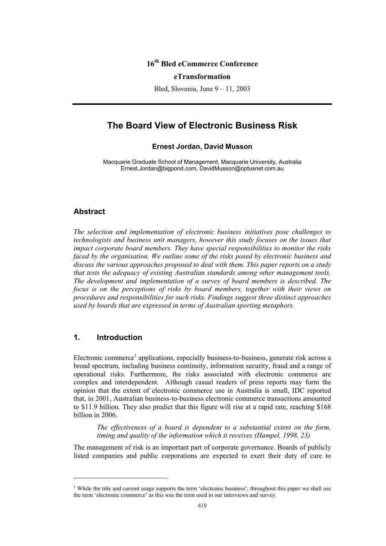## **16th Bled eCommerce Conference**

#### **eTransformation**

Bled, Slovenia, June 9 – 11, 2003

## **The Board View of Electronic Business Risk**

#### **Ernest Jordan, David Musson**

Macquarie Graduate School of Management, Macquarie University, Australia Ernest.Jordan@bigpond.com, DavidMusson@optusnet.com.au

#### **Abstract**

*The selection and implementation of electronic business initiatives pose challenges to technologists and business unit managers, however this study focuses on the issues that impact corporate board members. They have special responsibilities to monitor the risks faced by the organisation. We outline some of the risks posed by electronic business and discuss the various approaches proposed to deal with them. This paper reports on a study that tests the adequacy of existing Australian standards among other management tools. The development and implementation of a survey of board members is described. The focus is on the perceptions of risks by board members, together with their views on procedures and responsibilities for such risks. Findings suggest three distinct approaches used by boards that are expressed in terms of Australian sporting metaphors.* 

## **1. Introduction**

l

Electronic commerce<sup>1</sup> applications, especially business-to-business, generate risk across a broad spectrum, including business continuity, information security, fraud and a range of operational risks. Furthermore, the risks associated with electronic commerce are complex and interdependent. Although casual readers of press reports may form the opinion that the extent of electronic commerce use in Australia is small, IDC reported that, in 2001, Australian business-to-business electronic commerce transactions amounted to \$11.9 billion. They also predict that this figure will rise at a rapid rate, reaching \$168 billion in 2006.

*The effectiveness of a board is dependent to a substantial extent on the form, timing and quality of the information which it receives (Hampel, 1998, 23)* 

The management of risk is an important part of corporate governance. Boards of publicly listed companies and public corporations are expected to exert their duty of care to

<sup>&</sup>lt;sup>1</sup> While the title and current usage supports the term 'electronic business', throughout this paper we shall use the term 'electronic commerce' as this was the term used in our interviews and survey.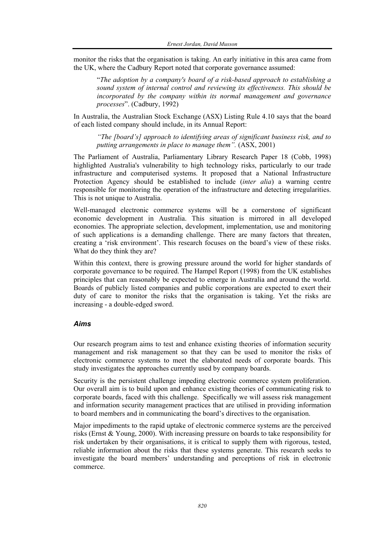monitor the risks that the organisation is taking. An early initiative in this area came from the UK, where the Cadbury Report noted that corporate governance assumed:

"*The adoption by a company's board of a risk-based approach to establishing a sound system of internal control and reviewing its effectiveness. This should be incorporated by the company within its normal management and governance processes*". (Cadbury, 1992)

In Australia, the Australian Stock Exchange (ASX) Listing Rule 4.10 says that the board of each listed company should include, in its Annual Report:

*"The [board's] approach to identifying areas of significant business risk, and to putting arrangements in place to manage them".* (ASX, 2001)

The Parliament of Australia, Parliamentary Library Research Paper 18 (Cobb, 1998) highlighted Australia's vulnerability to high technology risks, particularly to our trade infrastructure and computerised systems. It proposed that a National Infrastructure Protection Agency should be established to include (*inter alia*) a warning centre responsible for monitoring the operation of the infrastructure and detecting irregularities. This is not unique to Australia.

Well-managed electronic commerce systems will be a cornerstone of significant economic development in Australia. This situation is mirrored in all developed economies. The appropriate selection, development, implementation, use and monitoring of such applications is a demanding challenge. There are many factors that threaten, creating a 'risk environment'. This research focuses on the board's view of these risks. What do they think they are?

Within this context, there is growing pressure around the world for higher standards of corporate governance to be required. The Hampel Report (1998) from the UK establishes principles that can reasonably be expected to emerge in Australia and around the world. Boards of publicly listed companies and public corporations are expected to exert their duty of care to monitor the risks that the organisation is taking. Yet the risks are increasing - a double-edged sword.

## *Aims*

Our research program aims to test and enhance existing theories of information security management and risk management so that they can be used to monitor the risks of electronic commerce systems to meet the elaborated needs of corporate boards. This study investigates the approaches currently used by company boards.

Security is the persistent challenge impeding electronic commerce system proliferation. Our overall aim is to build upon and enhance existing theories of communicating risk to corporate boards, faced with this challenge. Specifically we will assess risk management and information security management practices that are utilised in providing information to board members and in communicating the board's directives to the organisation.

Major impediments to the rapid uptake of electronic commerce systems are the perceived risks (Ernst & Young, 2000). With increasing pressure on boards to take responsibility for risk undertaken by their organisations, it is critical to supply them with rigorous, tested, reliable information about the risks that these systems generate. This research seeks to investigate the board members' understanding and perceptions of risk in electronic commerce.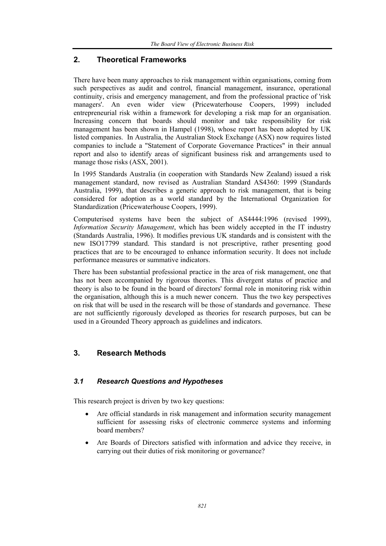## **2. Theoretical Frameworks**

There have been many approaches to risk management within organisations, coming from such perspectives as audit and control, financial management, insurance, operational continuity, crisis and emergency management, and from the professional practice of 'risk managers'. An even wider view (Pricewaterhouse Coopers, 1999) included entrepreneurial risk within a framework for developing a risk map for an organisation. Increasing concern that boards should monitor and take responsibility for risk management has been shown in Hampel (1998), whose report has been adopted by UK listed companies. In Australia, the Australian Stock Exchange (ASX) now requires listed companies to include a "Statement of Corporate Governance Practices" in their annual report and also to identify areas of significant business risk and arrangements used to manage those risks (ASX, 2001).

In 1995 Standards Australia (in cooperation with Standards New Zealand) issued a risk management standard, now revised as Australian Standard AS4360: 1999 (Standards Australia, 1999), that describes a generic approach to risk management, that is being considered for adoption as a world standard by the International Organization for Standardization (Pricewaterhouse Coopers, 1999).

Computerised systems have been the subject of AS4444:1996 (revised 1999), *Information Security Management*, which has been widely accepted in the IT industry (Standards Australia, 1996). It modifies previous UK standards and is consistent with the new ISO17799 standard. This standard is not prescriptive, rather presenting good practices that are to be encouraged to enhance information security. It does not include performance measures or summative indicators.

There has been substantial professional practice in the area of risk management, one that has not been accompanied by rigorous theories. This divergent status of practice and theory is also to be found in the board of directors' formal role in monitoring risk within the organisation, although this is a much newer concern. Thus the two key perspectives on risk that will be used in the research will be those of standards and governance. These are not sufficiently rigorously developed as theories for research purposes, but can be used in a Grounded Theory approach as guidelines and indicators.

## **3. Research Methods**

## *3.1 Research Questions and Hypotheses*

This research project is driven by two key questions:

- Are official standards in risk management and information security management sufficient for assessing risks of electronic commerce systems and informing board members?
- Are Boards of Directors satisfied with information and advice they receive, in carrying out their duties of risk monitoring or governance?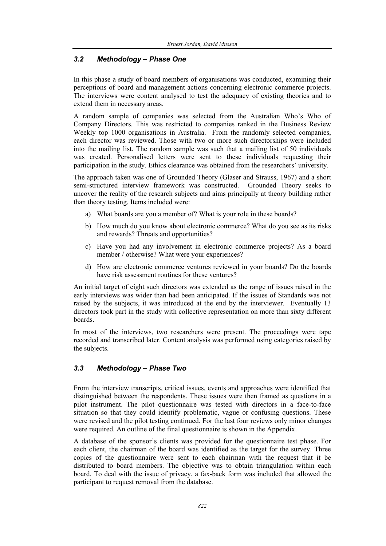## *3.2 Methodology – Phase One*

In this phase a study of board members of organisations was conducted, examining their perceptions of board and management actions concerning electronic commerce projects. The interviews were content analysed to test the adequacy of existing theories and to extend them in necessary areas.

A random sample of companies was selected from the Australian Who's Who of Company Directors. This was restricted to companies ranked in the Business Review Weekly top 1000 organisations in Australia. From the randomly selected companies, each director was reviewed. Those with two or more such directorships were included into the mailing list. The random sample was such that a mailing list of 50 individuals was created. Personalised letters were sent to these individuals requesting their participation in the study. Ethics clearance was obtained from the researchers' university.

The approach taken was one of Grounded Theory (Glaser and Strauss, 1967) and a short semi-structured interview framework was constructed. Grounded Theory seeks to uncover the reality of the research subjects and aims principally at theory building rather than theory testing. Items included were:

- a) What boards are you a member of? What is your role in these boards?
- b) How much do you know about electronic commerce? What do you see as its risks and rewards? Threats and opportunities?
- c) Have you had any involvement in electronic commerce projects? As a board member / otherwise? What were your experiences?
- d) How are electronic commerce ventures reviewed in your boards? Do the boards have risk assessment routines for these ventures?

An initial target of eight such directors was extended as the range of issues raised in the early interviews was wider than had been anticipated. If the issues of Standards was not raised by the subjects, it was introduced at the end by the interviewer. Eventually 13 directors took part in the study with collective representation on more than sixty different boards.

In most of the interviews, two researchers were present. The proceedings were tape recorded and transcribed later. Content analysis was performed using categories raised by the subjects.

## *3.3 Methodology – Phase Two*

From the interview transcripts, critical issues, events and approaches were identified that distinguished between the respondents. These issues were then framed as questions in a pilot instrument. The pilot questionnaire was tested with directors in a face-to-face situation so that they could identify problematic, vague or confusing questions. These were revised and the pilot testing continued. For the last four reviews only minor changes were required. An outline of the final questionnaire is shown in the Appendix.

A database of the sponsor's clients was provided for the questionnaire test phase. For each client, the chairman of the board was identified as the target for the survey. Three copies of the questionnaire were sent to each chairman with the request that it be distributed to board members. The objective was to obtain triangulation within each board. To deal with the issue of privacy, a fax-back form was included that allowed the participant to request removal from the database.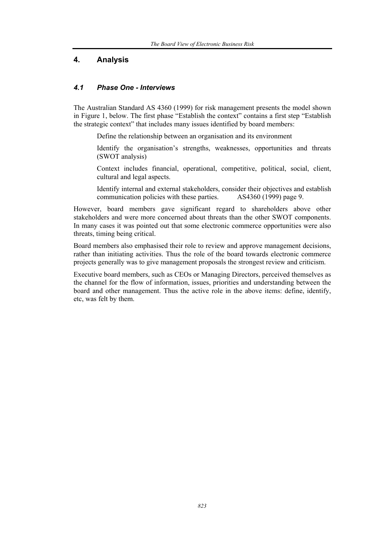## **4. Analysis**

#### *4.1 Phase One - Interviews*

The Australian Standard AS 4360 (1999) for risk management presents the model shown in Figure 1, below. The first phase "Establish the context" contains a first step "Establish the strategic context" that includes many issues identified by board members:

- Define the relationship between an organisation and its environment
- Identify the organisation's strengths, weaknesses, opportunities and threats (SWOT analysis)
- Context includes financial, operational, competitive, political, social, client, cultural and legal aspects.
- Identify internal and external stakeholders, consider their objectives and establish communication policies with these parties. AS4360 (1999) page 9.

However, board members gave significant regard to shareholders above other stakeholders and were more concerned about threats than the other SWOT components. In many cases it was pointed out that some electronic commerce opportunities were also threats, timing being critical.

Board members also emphasised their role to review and approve management decisions, rather than initiating activities. Thus the role of the board towards electronic commerce projects generally was to give management proposals the strongest review and criticism.

Executive board members, such as CEOs or Managing Directors, perceived themselves as the channel for the flow of information, issues, priorities and understanding between the board and other management. Thus the active role in the above items: define, identify, etc, was felt by them.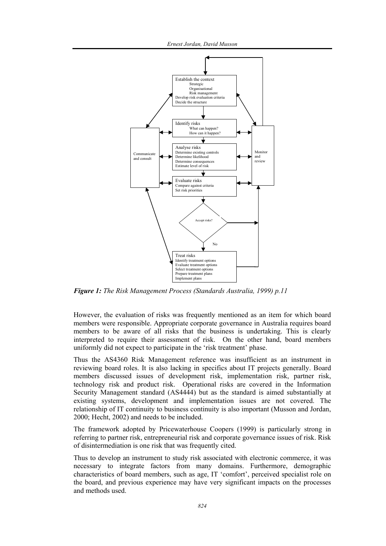*Ernest Jordan, David Musson* 



*Figure 1: The Risk Management Process (Standards Australia, 1999) p.11* 

However, the evaluation of risks was frequently mentioned as an item for which board members were responsible. Appropriate corporate governance in Australia requires board members to be aware of all risks that the business is undertaking. This is clearly interpreted to require their assessment of risk. On the other hand, board members uniformly did not expect to participate in the 'risk treatment' phase.

Thus the AS4360 Risk Management reference was insufficient as an instrument in reviewing board roles. It is also lacking in specifics about IT projects generally. Board members discussed issues of development risk, implementation risk, partner risk, technology risk and product risk. Operational risks are covered in the Information Security Management standard (AS4444) but as the standard is aimed substantially at existing systems, development and implementation issues are not covered. The relationship of IT continuity to business continuity is also important (Musson and Jordan, 2000; Hecht, 2002) and needs to be included.

The framework adopted by Pricewaterhouse Coopers (1999) is particularly strong in referring to partner risk, entrepreneurial risk and corporate governance issues of risk. Risk of disintermediation is one risk that was frequently cited.

Thus to develop an instrument to study risk associated with electronic commerce, it was necessary to integrate factors from many domains. Furthermore, demographic characteristics of board members, such as age, IT 'comfort', perceived specialist role on the board, and previous experience may have very significant impacts on the processes and methods used.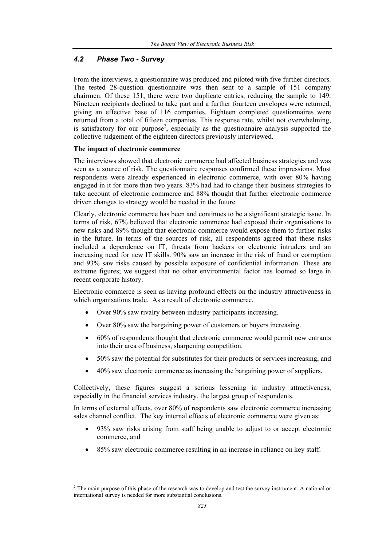## *4.2 Phase Two - Survey*

From the interviews, a questionnaire was produced and piloted with five further directors. The tested 28-question questionnaire was then sent to a sample of 151 company chairmen. Of these 151, there were two duplicate entries, reducing the sample to 149. Nineteen recipients declined to take part and a further fourteen envelopes were returned, giving an effective base of 116 companies. Eighteen completed questionnaires were returned from a total of fifteen companies. This response rate, whilst not overwhelming, is satisfactory for our purpose<sup>2</sup>, especially as the questionnaire analysis supported the collective judgement of the eighteen directors previously interviewed.

#### **The impact of electronic commerce**

l

The interviews showed that electronic commerce had affected business strategies and was seen as a source of risk. The questionnaire responses confirmed these impressions. Most respondents were already experienced in electronic commerce, with over 80% having engaged in it for more than two years. 83% had had to change their business strategies to take account of electronic commerce and 88% thought that further electronic commerce driven changes to strategy would be needed in the future.

Clearly, electronic commerce has been and continues to be a significant strategic issue. In terms of risk, 67% believed that electronic commerce had exposed their organisations to new risks and 89% thought that electronic commerce would expose them to further risks in the future. In terms of the sources of risk, all respondents agreed that these risks included a dependence on IT, threats from hackers or electronic intruders and an increasing need for new IT skills. 90% saw an increase in the risk of fraud or corruption and 93% saw risks caused by possible exposure of confidential information. These are extreme figures; we suggest that no other environmental factor has loomed so large in recent corporate history.

Electronic commerce is seen as having profound effects on the industry attractiveness in which organisations trade. As a result of electronic commerce,

- Over 90% saw rivalry between industry participants increasing.
- Over 80% saw the bargaining power of customers or buyers increasing.
- 60% of respondents thought that electronic commerce would permit new entrants into their area of business, sharpening competition.
- 50% saw the potential for substitutes for their products or services increasing, and
- 40% saw electronic commerce as increasing the bargaining power of suppliers.

Collectively, these figures suggest a serious lessening in industry attractiveness, especially in the financial services industry, the largest group of respondents.

In terms of external effects, over 80% of respondents saw electronic commerce increasing sales channel conflict. The key internal effects of electronic commerce were given as:

- 93% saw risks arising from staff being unable to adjust to or accept electronic commerce, and
- 85% saw electronic commerce resulting in an increase in reliance on key staff.

 $2<sup>2</sup>$  The main purpose of this phase of the research was to develop and test the survey instrument. A national or international survey is needed for more substantial conclusions.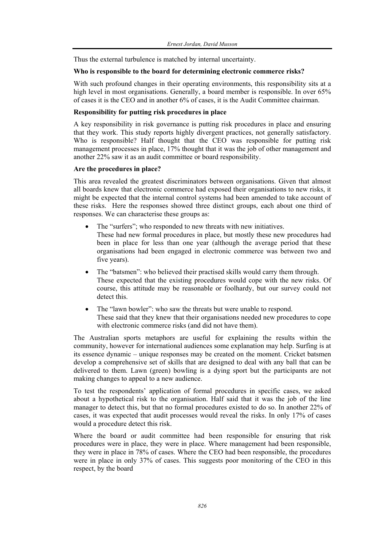Thus the external turbulence is matched by internal uncertainty.

#### **Who is responsible to the board for determining electronic commerce risks?**

With such profound changes in their operating environments, this responsibility sits at a high level in most organisations. Generally, a board member is responsible. In over 65% of cases it is the CEO and in another 6% of cases, it is the Audit Committee chairman.

#### **Responsibility for putting risk procedures in place**

A key responsibility in risk governance is putting risk procedures in place and ensuring that they work. This study reports highly divergent practices, not generally satisfactory. Who is responsible? Half thought that the CEO was responsible for putting risk management processes in place, 17% thought that it was the job of other management and another 22% saw it as an audit committee or board responsibility.

#### **Are the procedures in place?**

This area revealed the greatest discriminators between organisations. Given that almost all boards knew that electronic commerce had exposed their organisations to new risks, it might be expected that the internal control systems had been amended to take account of these risks. Here the responses showed three distinct groups, each about one third of responses. We can characterise these groups as:

- The "surfers"; who responded to new threats with new initiatives. These had new formal procedures in place, but mostly these new procedures had been in place for less than one year (although the average period that these organisations had been engaged in electronic commerce was between two and five years).
- The "batsmen": who believed their practised skills would carry them through. These expected that the existing procedures would cope with the new risks. Of course, this attitude may be reasonable or foolhardy, but our survey could not detect this.
- The "lawn bowler": who saw the threats but were unable to respond. These said that they knew that their organisations needed new procedures to cope with electronic commerce risks (and did not have them).

The Australian sports metaphors are useful for explaining the results within the community, however for international audiences some explanation may help. Surfing is at its essence dynamic – unique responses may be created on the moment. Cricket batsmen develop a comprehensive set of skills that are designed to deal with any ball that can be delivered to them. Lawn (green) bowling is a dying sport but the participants are not making changes to appeal to a new audience.

To test the respondents' application of formal procedures in specific cases, we asked about a hypothetical risk to the organisation. Half said that it was the job of the line manager to detect this, but that no formal procedures existed to do so. In another 22% of cases, it was expected that audit processes would reveal the risks. In only 17% of cases would a procedure detect this risk.

Where the board or audit committee had been responsible for ensuring that risk procedures were in place, they were in place. Where management had been responsible, they were in place in 78% of cases. Where the CEO had been responsible, the procedures were in place in only 37% of cases. This suggests poor monitoring of the CEO in this respect, by the board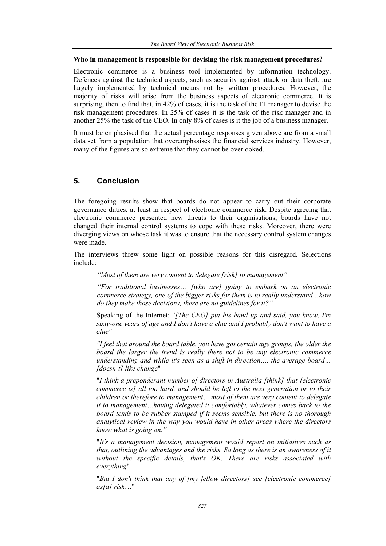#### **Who in management is responsible for devising the risk management procedures?**

Electronic commerce is a business tool implemented by information technology. Defences against the technical aspects, such as security against attack or data theft, are largely implemented by technical means not by written procedures. However, the majority of risks will arise from the business aspects of electronic commerce. It is surprising, then to find that, in 42% of cases, it is the task of the IT manager to devise the risk management procedures. In 25% of cases it is the task of the risk manager and in another 25% the task of the CEO. In only 8% of cases is it the job of a business manager.

It must be emphasised that the actual percentage responses given above are from a small data set from a population that overemphasises the financial services industry. However, many of the figures are so extreme that they cannot be overlooked.

## **5. Conclusion**

The foregoing results show that boards do not appear to carry out their corporate governance duties, at least in respect of electronic commerce risk. Despite agreeing that electronic commerce presented new threats to their organisations, boards have not changed their internal control systems to cope with these risks. Moreover, there were diverging views on whose task it was to ensure that the necessary control system changes were made.

The interviews threw some light on possible reasons for this disregard. Selections include:

*"Most of them are very content to delegate [risk] to management"* 

*"For traditional businesses*… *[who are] going to embark on an electronic commerce strategy, one of the bigger risks for them is to really understand…how do they make those decisions, there are no guidelines for it?"* 

Speaking of the Internet: "*[The CEO] put his hand up and said, you know, I'm sixty-one years of age and I don't have a clue and I probably don't want to have a clue"* 

*"I feel that around the board table, you have got certain age groups, the older the board the larger the trend is really there not to be any electronic commerce understanding and while it's seen as a shift in direction…, the average board… [doesn't] like change*"

"*I think a preponderant number of directors in Australia [think] that [electronic commerce is] all too hard, and should be left to the next generation or to their children or therefore to management….most of them are very content to delegate it to management…having delegated it comfortably, whatever comes back to the board tends to be rubber stamped if it seems sensible, but there is no thorough analytical review in the way you would have in other areas where the directors know what is going on."* 

"*It's a management decision, management would report on initiatives such as that, outlining the advantages and the risks. So long as there is an awareness of it without the specific details, that's OK. There are risks associated with everything*"

"*But I don't think that any of [my fellow directors] see [electronic commerce] as[a] risk*…"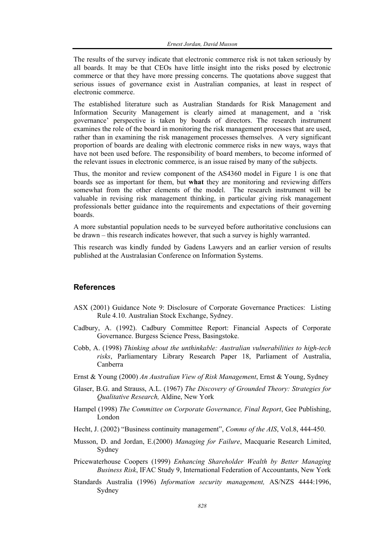The results of the survey indicate that electronic commerce risk is not taken seriously by all boards. It may be that CEOs have little insight into the risks posed by electronic commerce or that they have more pressing concerns. The quotations above suggest that serious issues of governance exist in Australian companies, at least in respect of electronic commerce.

The established literature such as Australian Standards for Risk Management and Information Security Management is clearly aimed at management, and a 'risk governance' perspective is taken by boards of directors. The research instrument examines the role of the board in monitoring the risk management processes that are used, rather than in examining the risk management processes themselves. A very significant proportion of boards are dealing with electronic commerce risks in new ways, ways that have not been used before. The responsibility of board members, to become informed of the relevant issues in electronic commerce, is an issue raised by many of the subjects.

Thus, the monitor and review component of the AS4360 model in Figure 1 is one that boards see as important for them, but **what** they are monitoring and reviewing differs somewhat from the other elements of the model. The research instrument will be valuable in revising risk management thinking, in particular giving risk management professionals better guidance into the requirements and expectations of their governing boards.

A more substantial population needs to be surveyed before authoritative conclusions can be drawn – this research indicates however, that such a survey is highly warranted.

This research was kindly funded by Gadens Lawyers and an earlier version of results published at the Australasian Conference on Information Systems.

## **References**

- ASX (2001) Guidance Note 9: Disclosure of Corporate Governance Practices: Listing Rule 4.10. Australian Stock Exchange, Sydney.
- Cadbury, A. (1992). Cadbury Committee Report: Financial Aspects of Corporate Governance. Burgess Science Press, Basingstoke.
- Cobb, A. (1998) *Thinking about the unthinkable: Australian vulnerabilities to high-tech risks*, Parliamentary Library Research Paper 18, Parliament of Australia, Canberra
- Ernst & Young (2000) *An Australian View of Risk Management*, Ernst & Young, Sydney
- Glaser, B.G. and Strauss, A.L. (1967) *The Discovery of Grounded Theory: Strategies for Qualitative Research,* Aldine, New York
- Hampel (1998) *The Committee on Corporate Governance, Final Report*, Gee Publishing, London
- Hecht, J. (2002) "Business continuity management", *Comms of the AIS*, Vol.8, 444-450.
- Musson, D. and Jordan, E.(2000) *Managing for Failure*, Macquarie Research Limited, Sydney
- Pricewaterhouse Coopers (1999) *Enhancing Shareholder Wealth by Better Managing Business Risk*, IFAC Study 9, International Federation of Accountants, New York
- Standards Australia (1996) *Information security management,* AS/NZS 4444:1996, Sydney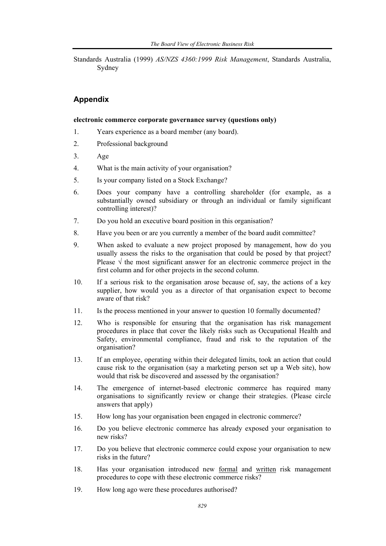Standards Australia (1999) *AS/NZS 4360:1999 Risk Management*, Standards Australia, Sydney

## **Appendix**

#### **electronic commerce corporate governance survey (questions only)**

- 1. Years experience as a board member (any board).
- 2. Professional background
- 3. Age
- 4. What is the main activity of your organisation?
- 5. Is your company listed on a Stock Exchange?
- 6. Does your company have a controlling shareholder (for example, as a substantially owned subsidiary or through an individual or family significant controlling interest)?
- 7. Do you hold an executive board position in this organisation?
- 8. Have you been or are you currently a member of the board audit committee?
- 9. When asked to evaluate a new project proposed by management, how do you usually assess the risks to the organisation that could be posed by that project? Please  $\sqrt{}$  the most significant answer for an electronic commerce project in the first column and for other projects in the second column.
- 10. If a serious risk to the organisation arose because of, say, the actions of a key supplier, how would you as a director of that organisation expect to become aware of that risk?
- 11. Is the process mentioned in your answer to question 10 formally documented?
- 12. Who is responsible for ensuring that the organisation has risk management procedures in place that cover the likely risks such as Occupational Health and Safety, environmental compliance, fraud and risk to the reputation of the organisation?
- 13. If an employee, operating within their delegated limits, took an action that could cause risk to the organisation (say a marketing person set up a Web site), how would that risk be discovered and assessed by the organisation?
- 14. The emergence of internet-based electronic commerce has required many organisations to significantly review or change their strategies. (Please circle answers that apply)
- 15. How long has your organisation been engaged in electronic commerce?
- 16. Do you believe electronic commerce has already exposed your organisation to new risks?
- 17. Do you believe that electronic commerce could expose your organisation to new risks in the future?
- 18. Has your organisation introduced new formal and written risk management procedures to cope with these electronic commerce risks?
- 19. How long ago were these procedures authorised?